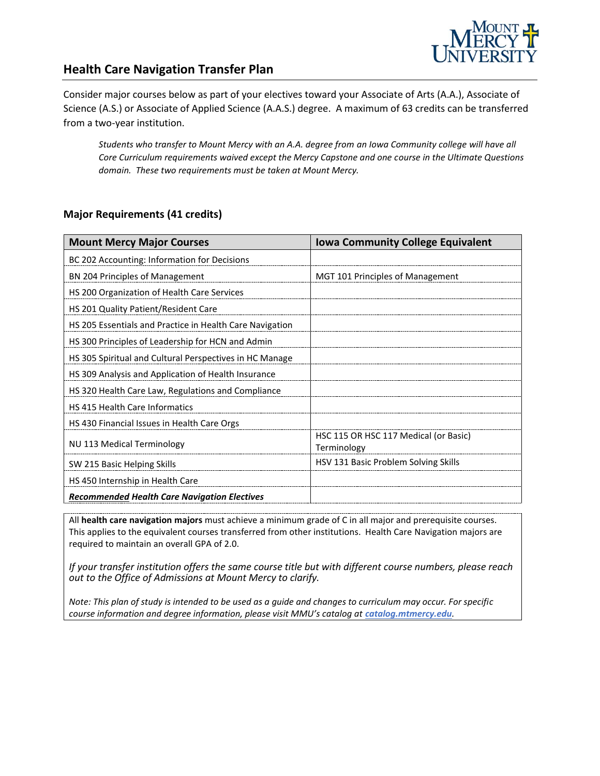

#### **Health Care Navigation Transfer Plan**

Consider major courses below as part of your electives toward your Associate of Arts (A.A.), Associate of Science (A.S.) or Associate of Applied Science (A.A.S.) degree. A maximum of 63 credits can be transferred from a two-year institution.

*Students who transfer to Mount Mercy with an A.A. degree from an Iowa Community college will have all Core Curriculum requirements waived except the Mercy Capstone and one course in the Ultimate Questions domain. These two requirements must be taken at Mount Mercy.*

#### **Major Requirements (41 credits)**

| <b>Mount Mercy Major Courses</b>                         | <b>Iowa Community College Equivalent</b>             |
|----------------------------------------------------------|------------------------------------------------------|
| BC 202 Accounting: Information for Decisions             |                                                      |
| <b>BN 204 Principles of Management</b>                   | MGT 101 Principles of Management                     |
| HS 200 Organization of Health Care Services              |                                                      |
| HS 201 Quality Patient/Resident Care                     |                                                      |
| HS 205 Essentials and Practice in Health Care Navigation |                                                      |
| HS 300 Principles of Leadership for HCN and Admin        |                                                      |
| HS 305 Spiritual and Cultural Perspectives in HC Manage  |                                                      |
| HS 309 Analysis and Application of Health Insurance      |                                                      |
| HS 320 Health Care Law, Regulations and Compliance       |                                                      |
| HS 415 Health Care Informatics                           |                                                      |
| HS 430 Financial Issues in Health Care Orgs              |                                                      |
| NU 113 Medical Terminology                               | HSC 115 OR HSC 117 Medical (or Basic)<br>Terminology |
| SW 215 Basic Helping Skills                              | HSV 131 Basic Problem Solving Skills                 |
| HS 450 Internship in Health Care                         |                                                      |
| <b>Recommended Health Care Navigation Electives</b>      |                                                      |

All **health care navigation majors** must achieve a minimum grade of C in all major and prerequisite courses. This applies to the equivalent courses transferred from other institutions. Health Care Navigation majors are required to maintain an overall GPA of 2.0.

*If your transfer institution offers the same course title but with different course numbers, please reach out to the Office of Admissions at Mount Mercy to clarify.*

*Note: This plan of study is intended to be used as a guide and changes to curriculum may occur. For specific course information and degree information, please visit MMU's catalog at catalog.mtmercy.edu.*